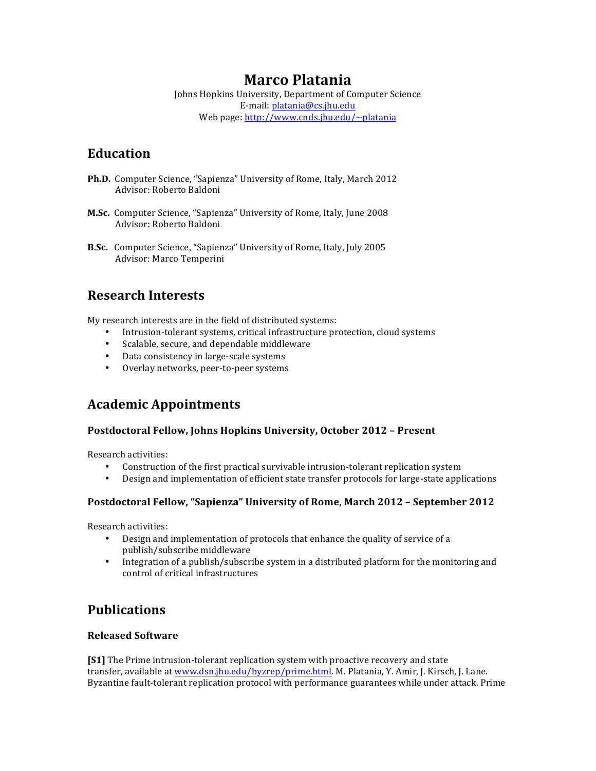# **Marco Platania**

Johns Hopkins University, Department of Computer Science E-mail: platania@cs.jhu.edu Web page: http://www.cnds.jhu.edu/~platania

# **Education**

- **Ph.D.** Computer Science, "Sapienza" University of Rome, Italy, March 2012 Advisor: Roberto Baldoni
- **M.Sc.** Computer Science, "Sapienza" University of Rome, Italy, June 2008 Advisor: Roberto Baldoni
- **B.Sc.** Computer Science, "Sapienza" University of Rome, Italy, July 2005 Advisor: Marco Temperini

# **Research Interests**

My research interests are in the field of distributed systems:

- Intrusion-tolerant systems, critical infrastructure protection, cloud systems
- Scalable, secure, and dependable middleware
- Data consistency in large-scale systems
- Overlay networks, peer-to-peer systems

# **Academic Appointments**

### **Postdoctoral Fellow, Johns Hopkins University, October 2012 - Present**

Research activities:

- Construction of the first practical survivable intrusion-tolerant replication system
- Design and implementation of efficient state transfer protocols for large-state applications

### **Postdoctoral Fellow, "Sapienza" University of Rome, March 2012 - September 2012**

Research activities:

- Design and implementation of protocols that enhance the quality of service of a publish/subscribe middleware
- Integration of a publish/subscribe system in a distributed platform for the monitoring and control of critical infrastructures

# **Publications**

### **Released Software**

**[S1]** The Prime intrusion-tolerant replication system with proactive recovery and state transfer, available at www.dsn.jhu.edu/byzrep/prime.html. M. Platania, Y. Amir, J. Kirsch, J. Lane. Byzantine fault-tolerant replication protocol with performance guarantees while under attack. Prime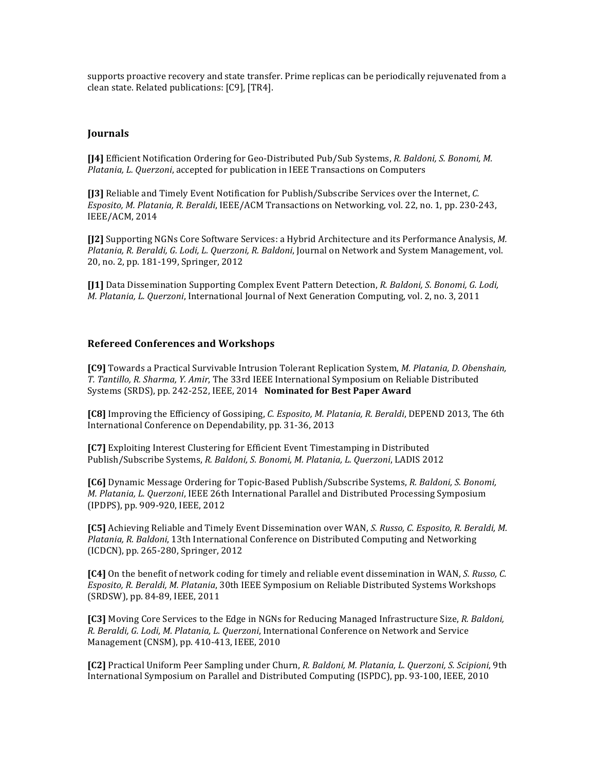supports proactive recovery and state transfer. Prime replicas can be periodically rejuvenated from a clean state. Related publications: [C9]. [TR4].

#### **Journals**

**[J4]** Efficient Notification Ordering for Geo-Distributed Pub/Sub Systems, *R. Baldoni, S. Bonomi, M. Platania, L. Querzoni*, accepted for publication in IEEE Transactions on Computers

**[J3]** Reliable and Timely Event Notification for Publish/Subscribe Services over the Internet, *C. Esposito, M. Platania, R. Beraldi*, IEEE/ACM Transactions on Networking, vol. 22, no. 1, pp. 230-243, IEEE/ACM, 2014

**[J2]** Supporting NGNs Core Software Services: a Hybrid Architecture and its Performance Analysis, *M. Platania, R. Beraldi, G. Lodi, L. Querzoni, R. Baldoni*, Journal on Network and System Management, vol. 20, no. 2, pp. 181-199, Springer, 2012

**[J1]** Data Dissemination Supporting Complex Event Pattern Detection, *R. Baldoni, S. Bonomi, G. Lodi, M. Platania, L. Querzoni*, International Journal of Next Generation Computing, vol. 2, no. 3, 2011

#### **Refereed Conferences and Workshops**

**[C9]** Towards a Practical Survivable Intrusion Tolerant Replication System, *M. Platania, D. Obenshain, T. Tantillo, R. Sharma, Y. Amir*, The 33rd IEEE International Symposium on Reliable Distributed Systems (SRDS), pp. 242-252, IEEE, 2014 Nominated for Best Paper Award

**[C8]** Improving the Efficiency of Gossiping, *C. Esposito, M. Platania, R. Beraldi*, DEPEND 2013, The 6th International Conference on Dependability, pp. 31-36, 2013

**[C7]** Exploiting Interest Clustering for Efficient Event Timestamping in Distributed Publish/Subscribe Systems, *R. Baldoni, S. Bonomi, M. Platania, L. Querzoni*, LADIS 2012

**[C6]** Dynamic Message Ordering for Topic-Based Publish/Subscribe Systems, *R. Baldoni, S. Bonomi, M. Platania, L. Querzoni*, IEEE 26th International Parallel and Distributed Processing Symposium (IPDPS), pp. 909-920, IEEE, 2012

**[C5]** Achieving Reliable and Timely Event Dissemination over WAN, *S. Russo, C. Esposito, R. Beraldi, M. Platania, R. Baldoni*, 13th International Conference on Distributed Computing and Networking (ICDCN), pp. 265-280, Springer, 2012

**[C4]** On the benefit of network coding for timely and reliable event dissemination in WAN, *S. Russo, C. Esposito, R. Beraldi, M. Platania*, 30th IEEE Symposium on Reliable Distributed Systems Workshops (SRDSW), pp. 84-89, IEEE, 2011

**[C3]** Moving Core Services to the Edge in NGNs for Reducing Managed Infrastructure Size, *R. Baldoni, R. Beraldi, G. Lodi, M. Platania, L. Querzoni*, International Conference on Network and Service Management (CNSM), pp. 410-413, IEEE, 2010

**[C2]** Practical Uniform Peer Sampling under Churn, *R. Baldoni, M. Platania, L. Querzoni, S. Scipioni*, 9th International Symposium on Parallel and Distributed Computing (ISPDC), pp. 93-100, IEEE, 2010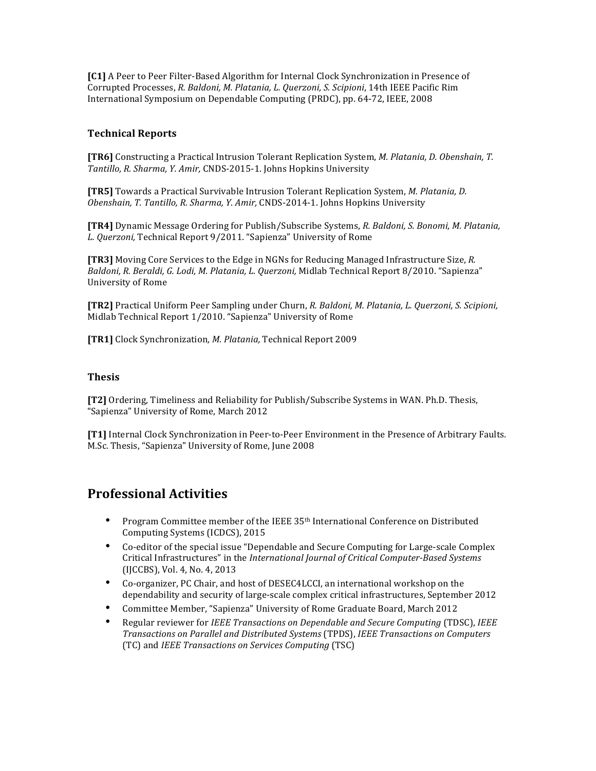**[C1]** A Peer to Peer Filter-Based Algorithm for Internal Clock Synchronization in Presence of Corrupted Processes, *R. Baldoni, M. Platania, L. Querzoni, S. Scipioni*, 14th IEEE Pacific Rim International Symposium on Dependable Computing (PRDC), pp. 64-72, IEEE, 2008

### **Technical Reports**

**[TR6]** Constructing a Practical Intrusion Tolerant Replication System, *M. Platania, D. Obenshain, T. Tantillo, R. Sharma, Y. Amir,* CNDS-2015-1. Johns Hopkins University

**[TR5]** Towards a Practical Survivable Intrusion Tolerant Replication System, *M. Platania, D. Obenshain, T. Tantillo, R. Sharma, Y. Amir,* CNDS-2014-1. Johns Hopkins University

**[TR4]** Dynamic Message Ordering for Publish/Subscribe Systems, *R. Baldoni, S. Bonomi, M. Platania, L. Querzoni,* Technical Report 9/2011. "Sapienza" University of Rome

**[TR3]** Moving Core Services to the Edge in NGNs for Reducing Managed Infrastructure Size, *R. Baldoni, R. Beraldi, G. Lodi, M. Platania, L. Querzoni,* Midlab Technical Report 8/2010. "Sapienza" University of Rome

**[TR2]** Practical Uniform Peer Sampling under Churn, *R. Baldoni, M. Platania, L. Querzoni, S. Scipioni,* Midlab Technical Report 1/2010. "Sapienza" University of Rome

**[TR1]** Clock Synchronization*, M. Platania,* Technical Report 2009

#### **Thesis**

**[T2]** Ordering, Timeliness and Reliability for Publish/Subscribe Systems in WAN. Ph.D. Thesis, "Sapienza" University of Rome, March 2012

**[T1]** Internal Clock Synchronization in Peer-to-Peer Environment in the Presence of Arbitrary Faults. M.Sc. Thesis, "Sapienza" University of Rome, June 2008

# **Professional Activities**

- Program Committee member of the IEEE 35<sup>th</sup> International Conference on Distributed Computing Systems (ICDCS), 2015
- Co-editor of the special issue "Dependable and Secure Computing for Large-scale Complex Critical Infrastructures" in the *International Journal of Critical Computer-Based Systems* (IJCCBS), Vol. 4, No. 4, 2013
- Co-organizer, PC Chair, and host of DESEC4LCCI, an international workshop on the dependability and security of large-scale complex critical infrastructures, September 2012
- Committee Member, "Sapienza" University of Rome Graduate Board, March 2012
- Regular reviewer for *IEEE Transactions on Dependable and Secure Computing* (TDSC), *IEEE Transactions on Parallel and Distributed Systems* (TPDS), *IEEE Transactions on Computers* (TC) and *IEEE Transactions on Services Computing* (TSC)